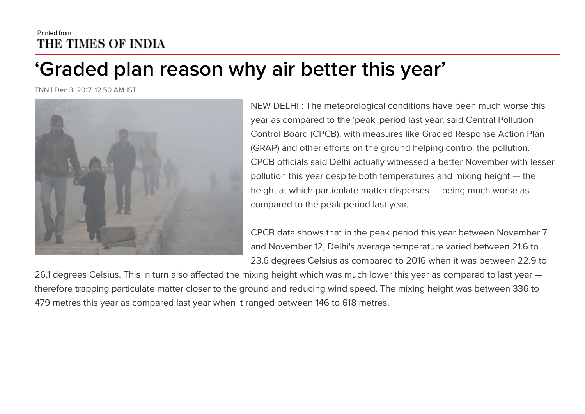## Printed from THE TIMES OF INDIA

## 'Graded plan reason why air better this year'

TNN | Dec 3, 2017, 12.50 AM IST



NEW DELHI : The meteorological conditions have been much worse this year as compared to the 'peak' period last year, said Central Pollution Control Board (CPCB), with measures like Graded Response Action Plan (GRAP) and other efforts on the ground helping control the pollution. CPCB officials said Delhi actually witnessed a better November with lesser pollution this year despite both temperatures and mixing height — the height at which particulate matter disperses — being much worse as compared to the peak period last year.

CPCB data shows that in the peak period this year between November 7 and November 12, Delhi's average temperature varied between 21.6 to 23.6 degrees Celsius as compared to 2016 when it was between 22.9 to

26.1 degrees Celsius. This in turn also affected the mixing height which was much lower this year as compared to last year therefore trapping particulate matter closer to the ground and reducing wind speed. The mixing height was between 336 to 479 metres this year as compared last year when it ranged between 146 to 618 metres.